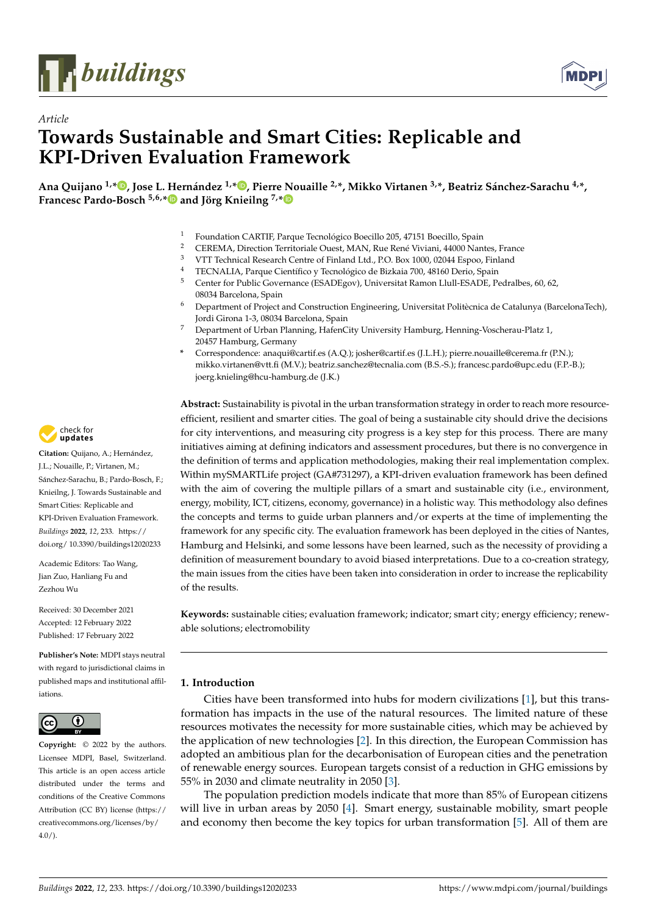

*Article*



# **Towards Sustainable and Smart Cities: Replicable and KPI-Driven Evaluation Framework**

Ana Quijano <sup>1[,](https://orcid.org/0000-0002-0366-7375)[\\*](https://orcid.org/0000-0002-7621-2937)</sup><sup>1</sup>, Jose L. Hernández <sup>1,\*</sup><sup>1</sup>, Pierre Nouaille <sup>2,\*</sup>, Mikko Virtanen <sup>3,\*</sup>, Beatriz Sánchez-Sarachu <sup>4,\*</sup>, **Francesc Pardo-Bosch 5,6,[\\*](https://orcid.org/0000-0001-9532-8508) and Jörg Knieilng 7,[\\*](https://orcid.org/0000-0003-1555-5458)**

- <sup>1</sup> Foundation CARTIF, Parque Tecnológico Boecillo 205, 47151 Boecillo, Spain<br><sup>2</sup> CEREMA Direction Territoriale Quest MAN Pue Pená Vixieni, 44000 Nan
- <sup>2</sup> CEREMA, Direction Territoriale Ouest, MAN, Rue René Viviani, 44000 Nantes, France<br><sup>3</sup> VITT Terbriel Bassageh Centre of Fieland J. d. P.O. Basil 1000, 00044 France Fieland
- <sup>3</sup> VTT Technical Research Centre of Finland Ltd., P.O. Box 1000, 02044 Espoo, Finland
- <sup>4</sup> TECNALIA, Parque Científico y Tecnológico de Bizkaia 700, 48160 Derio, Spain 5<br>5 Contor for Public Covernance (FSADEgov) Universitat Ramon Uull-FSADE Pe
- <sup>5</sup> Center for Public Governance (ESADEgov), Universitat Ramon Llull-ESADE, Pedralbes, 60, 62, 08034 Barcelona, Spain
- <sup>6</sup> Department of Project and Construction Engineering, Universitat Politècnica de Catalunya (BarcelonaTech), Jordi Girona 1-3, 08034 Barcelona, Spain
- <sup>7</sup> Department of Urban Planning, HafenCity University Hamburg, Henning-Voscherau-Platz 1, 20457 Hamburg, Germany
- **\*** Correspondence: anaqui@cartif.es (A.Q.); josher@cartif.es (J.L.H.); pierre.nouaille@cerema.fr (P.N.); mikko.virtanen@vtt.fi (M.V.); beatriz.sanchez@tecnalia.com (B.S.-S.); francesc.pardo@upc.edu (F.P.-B.); joerg.knieling@hcu-hamburg.de (J.K.)

**Abstract:** Sustainability is pivotal in the urban transformation strategy in order to reach more resourceefficient, resilient and smarter cities. The goal of being a sustainable city should drive the decisions for city interventions, and measuring city progress is a key step for this process. There are many initiatives aiming at defining indicators and assessment procedures, but there is no convergence in the definition of terms and application methodologies, making their real implementation complex. Within mySMARTLife project (GA#731297), a KPI-driven evaluation framework has been defined with the aim of covering the multiple pillars of a smart and sustainable city (i.e., environment, energy, mobility, ICT, citizens, economy, governance) in a holistic way. This methodology also defines the concepts and terms to guide urban planners and/or experts at the time of implementing the framework for any specific city. The evaluation framework has been deployed in the cities of Nantes, Hamburg and Helsinki, and some lessons have been learned, such as the necessity of providing a definition of measurement boundary to avoid biased interpretations. Due to a co-creation strategy, the main issues from the cities have been taken into consideration in order to increase the replicability of the results.

**Keywords:** sustainable cities; evaluation framework; indicator; smart city; energy efficiency; renewable solutions; electromobility

## **1. Introduction**

Cities have been transformed into hubs for modern civilizations [\[1\]](#page-10-0), but this transformation has impacts in the use of the natural resources. The limited nature of these resources motivates the necessity for more sustainable cities, which may be achieved by the application of new technologies [\[2\]](#page-10-1). In this direction, the European Commission has adopted an ambitious plan for the decarbonisation of European cities and the penetration of renewable energy sources. European targets consist of a reduction in GHG emissions by 55% in 2030 and climate neutrality in 2050 [\[3\]](#page-10-2).

The population prediction models indicate that more than 85% of European citizens will live in urban areas by 2050 [\[4\]](#page-10-3). Smart energy, sustainable mobility, smart people and economy then become the key topics for urban transformation [\[5\]](#page-10-4). All of them are



**Citation:** Quijano, A.; Hernández, J.L.; Nouaille, P.; Virtanen, M.; Sánchez-Sarachu, B.; Pardo-Bosch, F.; Knieilng, J. Towards Sustainable and Smart Cities: Replicable and KPI-Driven Evaluation Framework. *Buildings* **2022**, *12*, 233. [https://](https://doi.org/10.3390/buildings12020233) [doi.org/ 10.3390/buildings12020233](https://doi.org/10.3390/buildings12020233)

Academic Editors: Tao Wang, Jian Zuo, Hanliang Fu and Zezhou Wu

Received: 30 December 2021 Accepted: 12 February 2022 Published: 17 February 2022

**Publisher's Note:** MDPI stays neutral with regard to jurisdictional claims in published maps and institutional affiliations.



**Copyright:** © 2022 by the authors. Licensee MDPI, Basel, Switzerland. This article is an open access article distributed under the terms and conditions of the Creative Commons Attribution (CC BY) license [\(https://](https://creativecommons.org/licenses/by/4.0/) [creativecommons.org/licenses/by/](https://creativecommons.org/licenses/by/4.0/)  $4.0/$ ).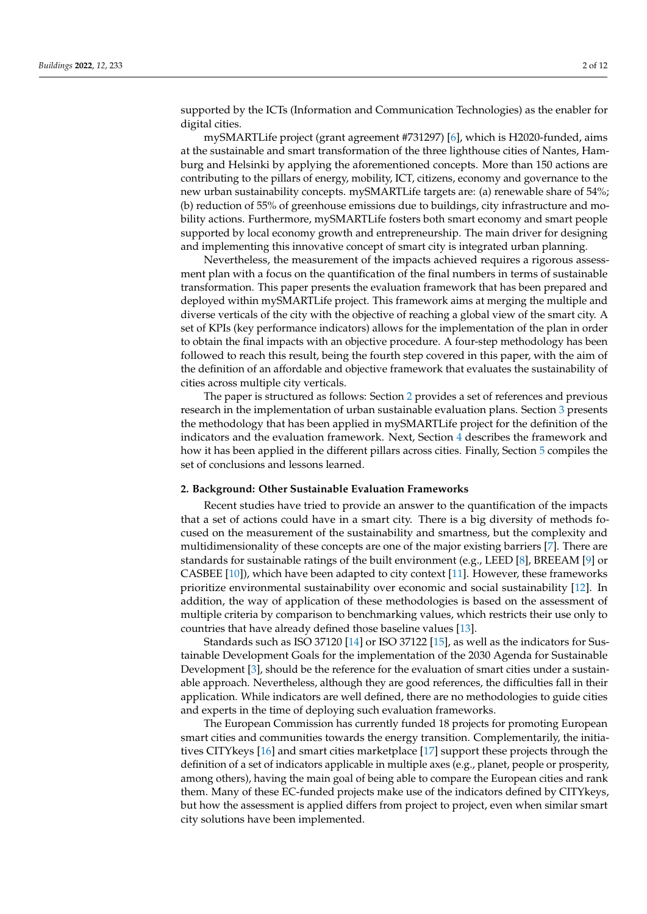supported by the ICTs (Information and Communication Technologies) as the enabler for digital cities.

mySMARTLife project (grant agreement #731297) [\[6\]](#page-10-5), which is H2020-funded, aims at the sustainable and smart transformation of the three lighthouse cities of Nantes, Hamburg and Helsinki by applying the aforementioned concepts. More than 150 actions are contributing to the pillars of energy, mobility, ICT, citizens, economy and governance to the new urban sustainability concepts. mySMARTLife targets are: (a) renewable share of 54%; (b) reduction of 55% of greenhouse emissions due to buildings, city infrastructure and mobility actions. Furthermore, mySMARTLife fosters both smart economy and smart people supported by local economy growth and entrepreneurship. The main driver for designing and implementing this innovative concept of smart city is integrated urban planning.

Nevertheless, the measurement of the impacts achieved requires a rigorous assessment plan with a focus on the quantification of the final numbers in terms of sustainable transformation. This paper presents the evaluation framework that has been prepared and deployed within mySMARTLife project. This framework aims at merging the multiple and diverse verticals of the city with the objective of reaching a global view of the smart city. A set of KPIs (key performance indicators) allows for the implementation of the plan in order to obtain the final impacts with an objective procedure. A four-step methodology has been followed to reach this result, being the fourth step covered in this paper, with the aim of the definition of an affordable and objective framework that evaluates the sustainability of cities across multiple city verticals.

The paper is structured as follows: Section [2](#page-1-0) provides a set of references and previous research in the implementation of urban sustainable evaluation plans. Section [3](#page-2-0) presents the methodology that has been applied in mySMARTLife project for the definition of the indicators and the evaluation framework. Next, Section [4](#page-4-0) describes the framework and how it has been applied in the different pillars across cities. Finally, Section [5](#page-9-0) compiles the set of conclusions and lessons learned.

#### <span id="page-1-0"></span>**2. Background: Other Sustainable Evaluation Frameworks**

Recent studies have tried to provide an answer to the quantification of the impacts that a set of actions could have in a smart city. There is a big diversity of methods focused on the measurement of the sustainability and smartness, but the complexity and multidimensionality of these concepts are one of the major existing barriers [\[7\]](#page-10-6). There are standards for sustainable ratings of the built environment (e.g., LEED [\[8\]](#page-10-7), BREEAM [\[9\]](#page-10-8) or CASBEE [\[10\]](#page-10-9)), which have been adapted to city context [\[11\]](#page-10-10). However, these frameworks prioritize environmental sustainability over economic and social sustainability [\[12\]](#page-10-11). In addition, the way of application of these methodologies is based on the assessment of multiple criteria by comparison to benchmarking values, which restricts their use only to countries that have already defined those baseline values [\[13\]](#page-10-12).

Standards such as ISO 37120 [\[14\]](#page-11-0) or ISO 37122 [\[15\]](#page-11-1), as well as the indicators for Sustainable Development Goals for the implementation of the 2030 Agenda for Sustainable Development [\[3\]](#page-10-2), should be the reference for the evaluation of smart cities under a sustainable approach. Nevertheless, although they are good references, the difficulties fall in their application. While indicators are well defined, there are no methodologies to guide cities and experts in the time of deploying such evaluation frameworks.

The European Commission has currently funded 18 projects for promoting European smart cities and communities towards the energy transition. Complementarily, the initiatives CITYkeys [\[16\]](#page-11-2) and smart cities marketplace [\[17\]](#page-11-3) support these projects through the definition of a set of indicators applicable in multiple axes (e.g., planet, people or prosperity, among others), having the main goal of being able to compare the European cities and rank them. Many of these EC-funded projects make use of the indicators defined by CITYkeys, but how the assessment is applied differs from project to project, even when similar smart city solutions have been implemented.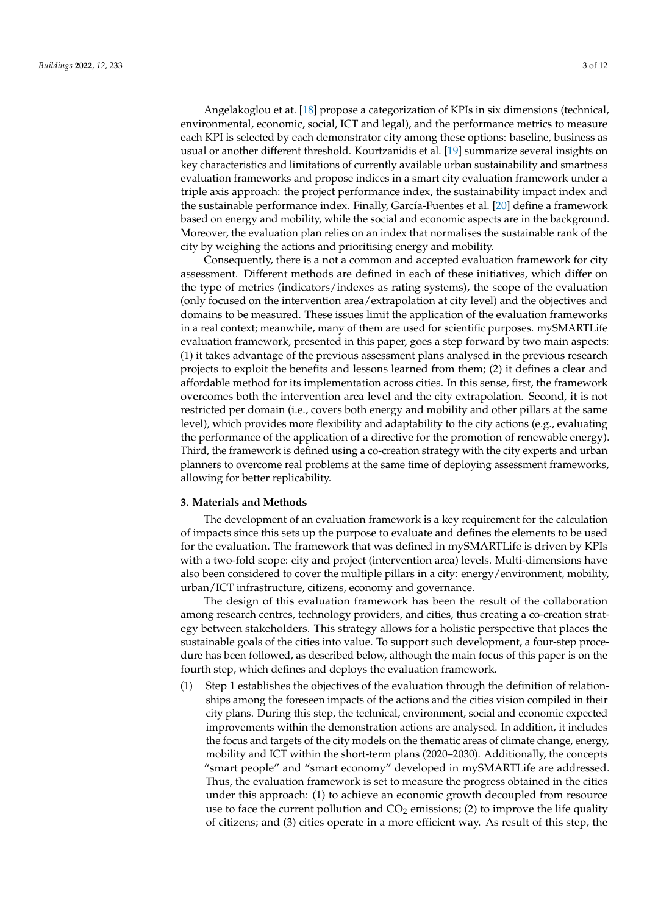Angelakoglou et at. [\[18\]](#page-11-4) propose a categorization of KPIs in six dimensions (technical, environmental, economic, social, ICT and legal), and the performance metrics to measure each KPI is selected by each demonstrator city among these options: baseline, business as usual or another different threshold. Kourtzanidis et al. [\[19\]](#page-11-5) summarize several insights on key characteristics and limitations of currently available urban sustainability and smartness evaluation frameworks and propose indices in a smart city evaluation framework under a triple axis approach: the project performance index, the sustainability impact index and the sustainable performance index. Finally, García-Fuentes et al. [\[20\]](#page-11-6) define a framework based on energy and mobility, while the social and economic aspects are in the background. Moreover, the evaluation plan relies on an index that normalises the sustainable rank of the city by weighing the actions and prioritising energy and mobility.

Consequently, there is a not a common and accepted evaluation framework for city assessment. Different methods are defined in each of these initiatives, which differ on the type of metrics (indicators/indexes as rating systems), the scope of the evaluation (only focused on the intervention area/extrapolation at city level) and the objectives and domains to be measured. These issues limit the application of the evaluation frameworks in a real context; meanwhile, many of them are used for scientific purposes. mySMARTLife evaluation framework, presented in this paper, goes a step forward by two main aspects: (1) it takes advantage of the previous assessment plans analysed in the previous research projects to exploit the benefits and lessons learned from them; (2) it defines a clear and affordable method for its implementation across cities. In this sense, first, the framework overcomes both the intervention area level and the city extrapolation. Second, it is not restricted per domain (i.e., covers both energy and mobility and other pillars at the same level), which provides more flexibility and adaptability to the city actions (e.g., evaluating the performance of the application of a directive for the promotion of renewable energy). Third, the framework is defined using a co-creation strategy with the city experts and urban planners to overcome real problems at the same time of deploying assessment frameworks, allowing for better replicability.

### <span id="page-2-0"></span>**3. Materials and Methods**

The development of an evaluation framework is a key requirement for the calculation of impacts since this sets up the purpose to evaluate and defines the elements to be used for the evaluation. The framework that was defined in mySMARTLife is driven by KPIs with a two-fold scope: city and project (intervention area) levels. Multi-dimensions have also been considered to cover the multiple pillars in a city: energy/environment, mobility, urban/ICT infrastructure, citizens, economy and governance.

The design of this evaluation framework has been the result of the collaboration among research centres, technology providers, and cities, thus creating a co-creation strategy between stakeholders. This strategy allows for a holistic perspective that places the sustainable goals of the cities into value. To support such development, a four-step procedure has been followed, as described below, although the main focus of this paper is on the fourth step, which defines and deploys the evaluation framework.

(1) Step 1 establishes the objectives of the evaluation through the definition of relationships among the foreseen impacts of the actions and the cities vision compiled in their city plans. During this step, the technical, environment, social and economic expected improvements within the demonstration actions are analysed. In addition, it includes the focus and targets of the city models on the thematic areas of climate change, energy, mobility and ICT within the short-term plans (2020–2030). Additionally, the concepts "smart people" and "smart economy" developed in mySMARTLife are addressed. Thus, the evaluation framework is set to measure the progress obtained in the cities under this approach: (1) to achieve an economic growth decoupled from resource use to face the current pollution and  $CO<sub>2</sub>$  emissions; (2) to improve the life quality of citizens; and (3) cities operate in a more efficient way. As result of this step, the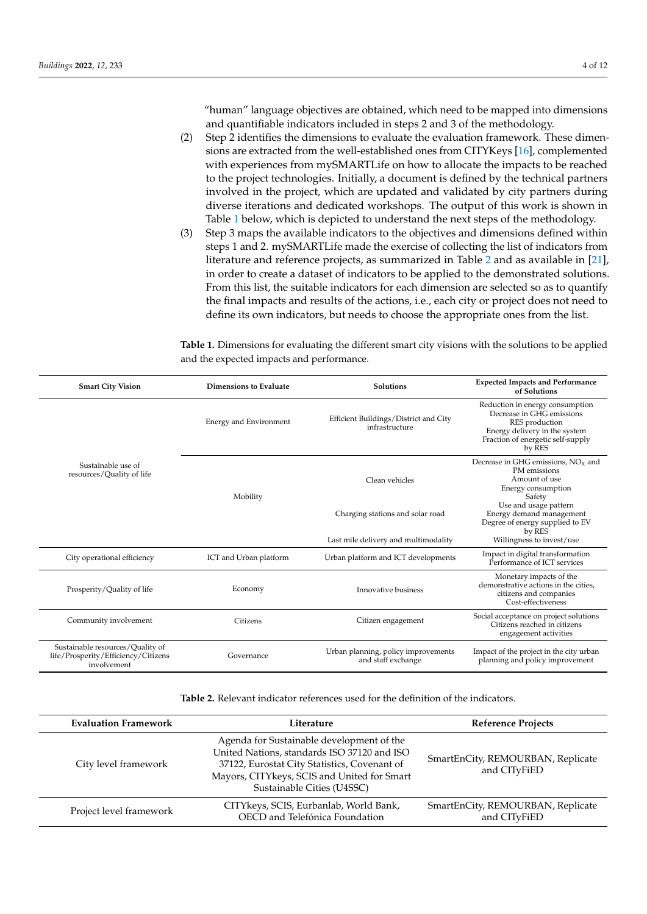"human" language objectives are obtained, which need to be mapped into dimensions and quantifiable indicators included in steps 2 and 3 of the methodology.

- (2) Step 2 identifies the dimensions to evaluate the evaluation framework. These dimensions are extracted from the well-established ones from CITYKeys [\[16\]](#page-11-2), complemented with experiences from mySMARTLife on how to allocate the impacts to be reached to the project technologies. Initially, a document is defined by the technical partners involved in the project, which are updated and validated by city partners during diverse iterations and dedicated workshops. The output of this work is shown in Table [1](#page-3-0) below, which is depicted to understand the next steps of the methodology.
- (3) Step 3 maps the available indicators to the objectives and dimensions defined within steps 1 and 2. mySMARTLife made the exercise of collecting the list of indicators from literature and reference projects, as summarized in Table [2](#page-3-1) and as available in [\[21\]](#page-11-7), in order to create a dataset of indicators to be applied to the demonstrated solutions. From this list, the suitable indicators for each dimension are selected so as to quantify the final impacts and results of the actions, i.e., each city or project does not need to define its own indicators, but needs to choose the appropriate ones from the list.

<span id="page-3-0"></span>**Table 1.** Dimensions for evaluating the different smart city visions with the solutions to be applied and the expected impacts and performance.

| <b>Smart City Vision</b>                                                               | <b>Dimensions to Evaluate</b> | <b>Solutions</b>                                          | <b>Expected Impacts and Performance</b><br>of Solutions                                                                                                        |
|----------------------------------------------------------------------------------------|-------------------------------|-----------------------------------------------------------|----------------------------------------------------------------------------------------------------------------------------------------------------------------|
| Sustainable use of<br>resources/Quality of life                                        | Energy and Environment        | Efficient Buildings/District and City<br>infrastructure   | Reduction in energy consumption<br>Decrease in GHG emissions<br>RES production<br>Energy delivery in the system<br>Fraction of energetic self-supply<br>by RES |
|                                                                                        | Mobility                      | Clean vehicles                                            | Decrease in GHG emissions, $NOx$ and<br>PM emissions<br>Amount of use<br>Energy consumption<br>Safety                                                          |
|                                                                                        |                               | Charging stations and solar road                          | Use and usage pattern<br>Energy demand management<br>Degree of energy supplied to EV<br>by RES                                                                 |
|                                                                                        |                               | Last mile delivery and multimodality                      | Willingness to invest/use                                                                                                                                      |
| City operational efficiency                                                            | ICT and Urban platform        | Urban platform and ICT developments                       | Impact in digital transformation<br>Performance of ICT services                                                                                                |
| Prosperity/Quality of life                                                             | Economy                       | Innovative business                                       | Monetary impacts of the<br>demonstrative actions in the cities,<br>citizens and companies<br>Cost-effectiveness                                                |
| Community involvement                                                                  | Citizens                      | Citizen engagement                                        | Social acceptance on project solutions<br>Citizens reached in citizens<br>engagement activities                                                                |
| Sustainable resources/Quality of<br>life/Prosperity/Efficiency/Citizens<br>involvement | Governance                    | Urban planning, policy improvements<br>and staff exchange | Impact of the project in the city urban<br>planning and policy improvement                                                                                     |

<span id="page-3-1"></span>**Table 2.** Relevant indicator references used for the definition of the indicators.

| <b>Evaluation Framework</b> | Literature                                                                                                                                                                                                            | <b>Reference Projects</b>                         |  |
|-----------------------------|-----------------------------------------------------------------------------------------------------------------------------------------------------------------------------------------------------------------------|---------------------------------------------------|--|
| City level framework        | Agenda for Sustainable development of the<br>United Nations, standards ISO 37120 and ISO<br>37122, Eurostat City Statistics, Covenant of<br>Mayors, CITYkeys, SCIS and United for Smart<br>Sustainable Cities (U4SSC) | SmartEnCity, REMOURBAN, Replicate<br>and CITyFiED |  |
| Project level framework     | CITYkeys, SCIS, Eurbanlab, World Bank,<br>OECD and Telefónica Foundation                                                                                                                                              | SmartEnCity, REMOURBAN, Replicate<br>and CITyFiED |  |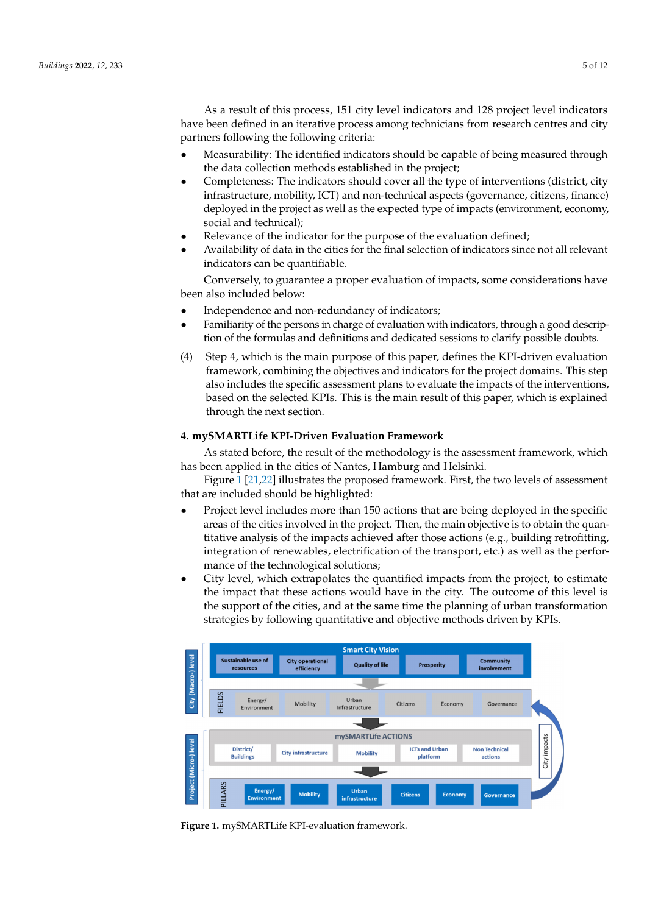As a result of this process, 151 city level indicators and 128 project level indicators have been defined in an iterative process among technicians from research centres and city partners following the following criteria:

- Measurability: The identified indicators should be capable of being measured through the data collection methods established in the project;
- Completeness: The indicators should cover all the type of interventions (district, city infrastructure, mobility, ICT) and non-technical aspects (governance, citizens, finance) deployed in the project as well as the expected type of impacts (environment, economy, social and technical);
- Relevance of the indicator for the purpose of the evaluation defined;
- Availability of data in the cities for the final selection of indicators since not all relevant indicators can be quantifiable.

Conversely, to guarantee a proper evaluation of impacts, some considerations have been also included below:

- Independence and non-redundancy of indicators;
- Familiarity of the persons in charge of evaluation with indicators, through a good description of the formulas and definitions and dedicated sessions to clarify possible doubts.
- (4) Step 4, which is the main purpose of this paper, defines the KPI-driven evaluation framework, combining the objectives and indicators for the project domains. This step also includes the specific assessment plans to evaluate the impacts of the interventions, based on the selected KPIs. This is the main result of this paper, which is explained through the next section.

## <span id="page-4-0"></span>**4. mySMARTLife KPI-Driven Evaluation Framework**

As stated before, the result of the methodology is the assessment framework, which has been applied in the cities of Nantes, Hamburg and Helsinki.

Figure [1](#page-4-1) [\[21](#page-11-7)[,22\]](#page-11-8) illustrates the proposed framework. First, the two levels of assessment that are included should be highlighted:

- Project level includes more than 150 actions that are being deployed in the specific areas of the cities involved in the project. Then, the main objective is to obtain the quantitative analysis of the impacts achieved after those actions (e.g., building retrofitting, integration of renewables, electrification of the transport, etc.) as well as the performance of the technological solutions;
- City level, which extrapolates the quantified impacts from the project, to estimate the impact that these actions would have in the city. The outcome of this level is the support of the cities*,* and at the same time the planning of urban transformation strategies by following quantitative and objective methods driven by KPIs.

<span id="page-4-1"></span>

**Figure 1.** mySMARTLife KPI-evaluation framework. **Figure 1.** mySMARTLife KPI-evaluation framework.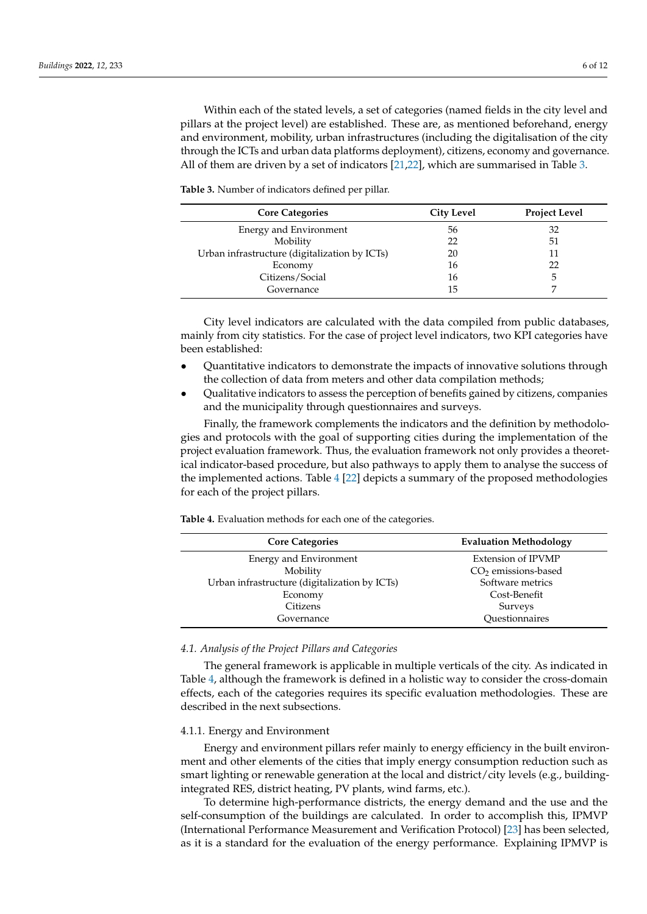Within each of the stated levels, a set of categories (named fields in the city level and pillars at the project level) are established. These are, as mentioned beforehand, energy and environment, mobility, urban infrastructures (including the digitalisation of the city through the ICTs and urban data platforms deployment), citizens, economy and governance. All of them are driven by a set of indicators [\[21,](#page-11-7)[22\]](#page-11-8), which are summarised in Table [3.](#page-5-0)

<span id="page-5-0"></span>**Table 3.** Number of indicators defined per pillar.

| <b>Core Categories</b>                        | <b>City Level</b> | <b>Project Level</b> |
|-----------------------------------------------|-------------------|----------------------|
| Energy and Environment                        | 56                | 32                   |
| Mobility                                      | 22                | 51                   |
| Urban infrastructure (digitalization by ICTs) | 20                |                      |
| Economy                                       | 16                | 22                   |
| Citizens/Social                               | 16                |                      |
| Governance                                    | 15                |                      |

City level indicators are calculated with the data compiled from public databases, mainly from city statistics. For the case of project level indicators, two KPI categories have been established:

- Quantitative indicators to demonstrate the impacts of innovative solutions through the collection of data from meters and other data compilation methods;
- Qualitative indicators to assess the perception of benefits gained by citizens, companies and the municipality through questionnaires and surveys.

Finally, the framework complements the indicators and the definition by methodologies and protocols with the goal of supporting cities during the implementation of the project evaluation framework. Thus, the evaluation framework not only provides a theoretical indicator-based procedure, but also pathways to apply them to analyse the success of the implemented actions. Table [4](#page-5-1) [\[22\]](#page-11-8) depicts a summary of the proposed methodologies for each of the project pillars.

<span id="page-5-1"></span>**Table 4.** Evaluation methods for each one of the categories.

| <b>Core Categories</b>                        | <b>Evaluation Methodology</b> |  |
|-----------------------------------------------|-------------------------------|--|
| Energy and Environment                        | Extension of IPVMP            |  |
| Mobility                                      | $CO2$ emissions-based         |  |
| Urban infrastructure (digitalization by ICTs) | Software metrics              |  |
| Economy                                       | Cost-Benefit                  |  |
| Citizens                                      | Surveys                       |  |
| Governance                                    | Questionnaires                |  |

#### *4.1. Analysis of the Project Pillars and Categories*

The general framework is applicable in multiple verticals of the city. As indicated in Table [4,](#page-5-1) although the framework is defined in a holistic way to consider the cross-domain effects, each of the categories requires its specific evaluation methodologies. These are described in the next subsections.

#### 4.1.1. Energy and Environment

Energy and environment pillars refer mainly to energy efficiency in the built environment and other elements of the cities that imply energy consumption reduction such as smart lighting or renewable generation at the local and district/city levels (e.g., buildingintegrated RES, district heating, PV plants, wind farms, etc.).

To determine high-performance districts, the energy demand and the use and the self-consumption of the buildings are calculated. In order to accomplish this, IPMVP (International Performance Measurement and Verification Protocol) [\[23\]](#page-11-9) has been selected, as it is a standard for the evaluation of the energy performance. Explaining IPMVP is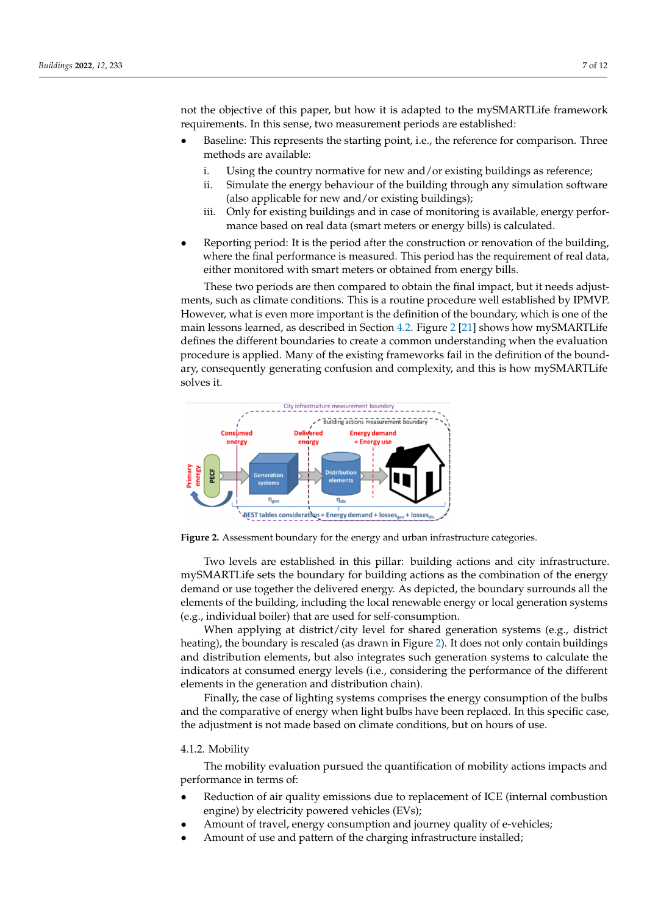not the objective of this paper, but how it is adapted to the mySMARTLife framework requirements. In this sense, two measurement periods are established: ments. In this sense, two measurement periods are established:

- Baseline: This represents the starting point, i.e., the reference for comparison. Three Baseline: This represents the starting point, i.e., the reference for comparison. Three methods are available: methods are available:
	- i. Using the country normative for new and/or existing buildings as reference; i. Using the country normative for new and/or existing buildings as reference;
	- ii. Simulate the energy behaviour of the building through any simulation software ii. Simulate the energy behaviour of the building through any simulation software (also applicable for new and/or existing buildings); (also applicable for new and/or existing buildings);
	- iii. Only for existing buildings and in case of monitoring is available, energy perfor-iii. Only for existing buildings and in case of monitoring is available, energy performance based on real data (smart meters or energy bills) is calculated. mance based on real data (smart meters or energy bills) is calculated.
- Reporting period: It is the period after the construction or renovation of the building, Reporting period: It is the period after the construction or renovation of the building, where the final performance is measured. This period has the requirement of real data, where the final performance is measured. This period has the requirement of real data, either monitored with smart meters or obtained from energy bills. either monitored with smart meters or obtained from energy bills.

These two periods are then compared to obtain the final impact, but it needs adjust-These two periods are then compared to obtain the final impact, but it needs adjustments, such as climate conditions. This is a routine procedure well established by IPMVP. ments, such as climate conditions. This is a routine procedure well established by IPMVP. However, what is even more important is the definition of the boundary, which is one of the However, what is even more important is the definition of the boundary, which is one of main lessons learned, as described in Se[ction](#page-8-0) 4.2. Fi[gu](#page-6-0)[re 2](#page-11-7) [21] shows how mySMARTLife defines the different boundaries to create a common understanding when the evaluation procedure is applied. Many of the existing frameworks fail in the definition of the boundary, consequently generating confusion and complexity, and this is how mySMARTLife solves it.

<span id="page-6-0"></span>

**Figure 2.** Assessment boundary for the energy and urban infrastructure categories. **Figure 2.** Assessment boundary for the energy and urban infrastructure categories.

Two levels are established in this pillar: building actions and city infrastructure. Two levels are established in this pillar: building actions and city infrastructure. mySMARTLife sets the boundary for building actions as the combination of the energy mySMARTLife sets the boundary for building actions as the combination of the energy demand or use together the delivered energy. As depicted, the boundary surrounds all demand or use together the delivered energy. As depicted, the boundary surrounds all the elements of the building, including the local renewable energy or local generation systems (e.g., individual boiler) that are used for self-consumption.

When applying at district/city level for shared generation systems (e.g., district heating), the boundary is rescaled (as drawn in Figure [2\)](#page-6-0). It does not only contain buildings and distribution elements, but also integrates such generation systems to calculate the indicators at consumed energy levels (i.e., considering the performance of the different elements in the generation and distribution chain).

Finally, the case of lighting systems comprises the energy consumption of the bulbs and the comparative of energy when light bulbs have been replaced. In this specific case, the adjustment is not made based on climate conditions, but on hours of use.

#### 4.1.2. Mobility

The mobility evaluation pursued the quantification of mobility actions impacts and performance in terms of:

- Reduction of air quality emissions due to replacement of ICE (internal combustion engine) by electricity powered vehicles (EVs);
- Amount of travel, energy consumption and journey quality of e-vehicles;
- Amount of use and pattern of the charging infrastructure installed;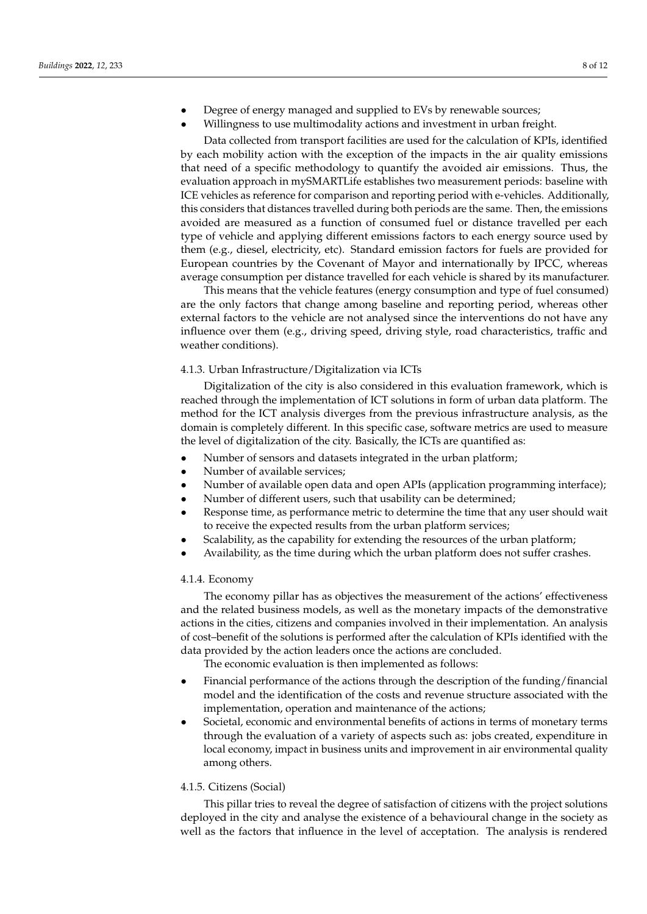- Degree of energy managed and supplied to EVs by renewable sources;
	- Willingness to use multimodality actions and investment in urban freight.

Data collected from transport facilities are used for the calculation of KPIs, identified by each mobility action with the exception of the impacts in the air quality emissions that need of a specific methodology to quantify the avoided air emissions. Thus, the evaluation approach in mySMARTLife establishes two measurement periods: baseline with ICE vehicles as reference for comparison and reporting period with e-vehicles. Additionally, this considers that distances travelled during both periods are the same. Then, the emissions avoided are measured as a function of consumed fuel or distance travelled per each type of vehicle and applying different emissions factors to each energy source used by them (e.g., diesel, electricity, etc). Standard emission factors for fuels are provided for European countries by the Covenant of Mayor and internationally by IPCC, whereas average consumption per distance travelled for each vehicle is shared by its manufacturer.

This means that the vehicle features (energy consumption and type of fuel consumed) are the only factors that change among baseline and reporting period, whereas other external factors to the vehicle are not analysed since the interventions do not have any influence over them (e.g., driving speed, driving style, road characteristics, traffic and weather conditions).

#### 4.1.3. Urban Infrastructure/Digitalization via ICTs

Digitalization of the city is also considered in this evaluation framework, which is reached through the implementation of ICT solutions in form of urban data platform. The method for the ICT analysis diverges from the previous infrastructure analysis, as the domain is completely different. In this specific case, software metrics are used to measure the level of digitalization of the city. Basically, the ICTs are quantified as:

- Number of sensors and datasets integrated in the urban platform;
- Number of available services;
- Number of available open data and open APIs (application programming interface);
- Number of different users, such that usability can be determined;
- Response time, as performance metric to determine the time that any user should wait to receive the expected results from the urban platform services;
- Scalability, as the capability for extending the resources of the urban platform;
- Availability, as the time during which the urban platform does not suffer crashes.

#### 4.1.4. Economy

The economy pillar has as objectives the measurement of the actions' effectiveness and the related business models, as well as the monetary impacts of the demonstrative actions in the cities, citizens and companies involved in their implementation. An analysis of cost–benefit of the solutions is performed after the calculation of KPIs identified with the data provided by the action leaders once the actions are concluded.

The economic evaluation is then implemented as follows:

- Financial performance of the actions through the description of the funding/financial model and the identification of the costs and revenue structure associated with the implementation, operation and maintenance of the actions;
- Societal, economic and environmental benefits of actions in terms of monetary terms through the evaluation of a variety of aspects such as: jobs created, expenditure in local economy, impact in business units and improvement in air environmental quality among others.

#### 4.1.5. Citizens (Social)

This pillar tries to reveal the degree of satisfaction of citizens with the project solutions deployed in the city and analyse the existence of a behavioural change in the society as well as the factors that influence in the level of acceptation. The analysis is rendered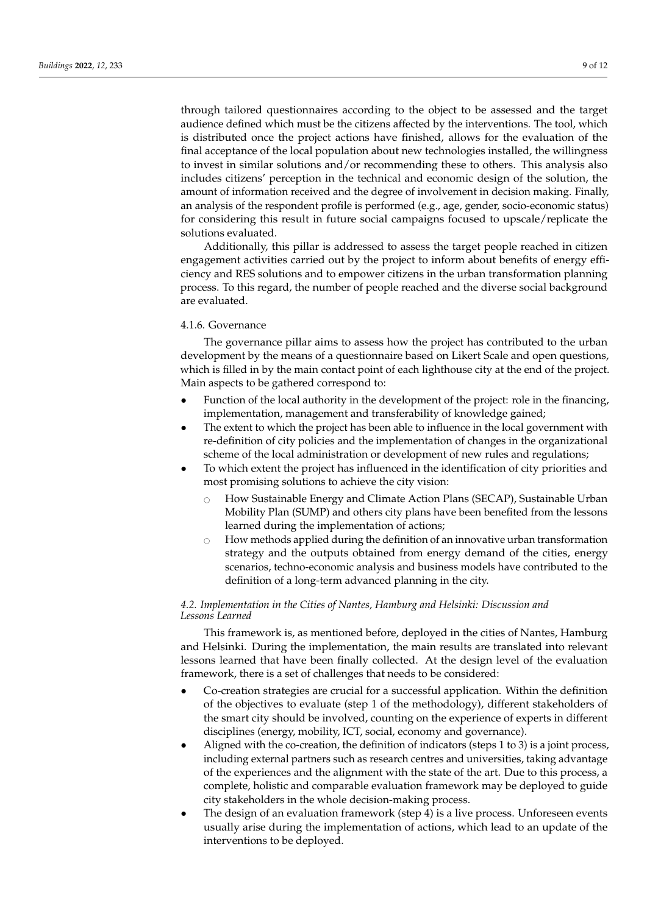through tailored questionnaires according to the object to be assessed and the target audience defined which must be the citizens affected by the interventions. The tool, which is distributed once the project actions have finished, allows for the evaluation of the final acceptance of the local population about new technologies installed, the willingness to invest in similar solutions and/or recommending these to others. This analysis also includes citizens' perception in the technical and economic design of the solution, the amount of information received and the degree of involvement in decision making. Finally, an analysis of the respondent profile is performed (e.g., age, gender, socio-economic status) for considering this result in future social campaigns focused to upscale/replicate the solutions evaluated.

Additionally, this pillar is addressed to assess the target people reached in citizen engagement activities carried out by the project to inform about benefits of energy efficiency and RES solutions and to empower citizens in the urban transformation planning process. To this regard, the number of people reached and the diverse social background are evaluated.

#### 4.1.6. Governance

The governance pillar aims to assess how the project has contributed to the urban development by the means of a questionnaire based on Likert Scale and open questions, which is filled in by the main contact point of each lighthouse city at the end of the project. Main aspects to be gathered correspond to:

- Function of the local authority in the development of the project: role in the financing, implementation, management and transferability of knowledge gained;
- The extent to which the project has been able to influence in the local government with re-definition of city policies and the implementation of changes in the organizational scheme of the local administration or development of new rules and regulations;
- To which extent the project has influenced in the identification of city priorities and most promising solutions to achieve the city vision:
	- $\circ$  How Sustainable Energy and Climate Action Plans (SECAP), Sustainable Urban Mobility Plan (SUMP) and others city plans have been benefited from the lessons learned during the implementation of actions;
	- $\circ$  How methods applied during the definition of an innovative urban transformation strategy and the outputs obtained from energy demand of the cities, energy scenarios, techno-economic analysis and business models have contributed to the definition of a long-term advanced planning in the city.

## <span id="page-8-0"></span>*4.2. Implementation in the Cities of Nantes, Hamburg and Helsinki: Discussion and Lessons Learned*

This framework is, as mentioned before, deployed in the cities of Nantes, Hamburg and Helsinki. During the implementation, the main results are translated into relevant lessons learned that have been finally collected. At the design level of the evaluation framework, there is a set of challenges that needs to be considered:

- Co-creation strategies are crucial for a successful application. Within the definition of the objectives to evaluate (step 1 of the methodology), different stakeholders of the smart city should be involved, counting on the experience of experts in different disciplines (energy, mobility, ICT, social, economy and governance).
- Aligned with the co-creation, the definition of indicators (steps 1 to 3) is a joint process, including external partners such as research centres and universities, taking advantage of the experiences and the alignment with the state of the art. Due to this process, a complete, holistic and comparable evaluation framework may be deployed to guide city stakeholders in the whole decision-making process.
- The design of an evaluation framework (step 4) is a live process. Unforeseen events usually arise during the implementation of actions, which lead to an update of the interventions to be deployed.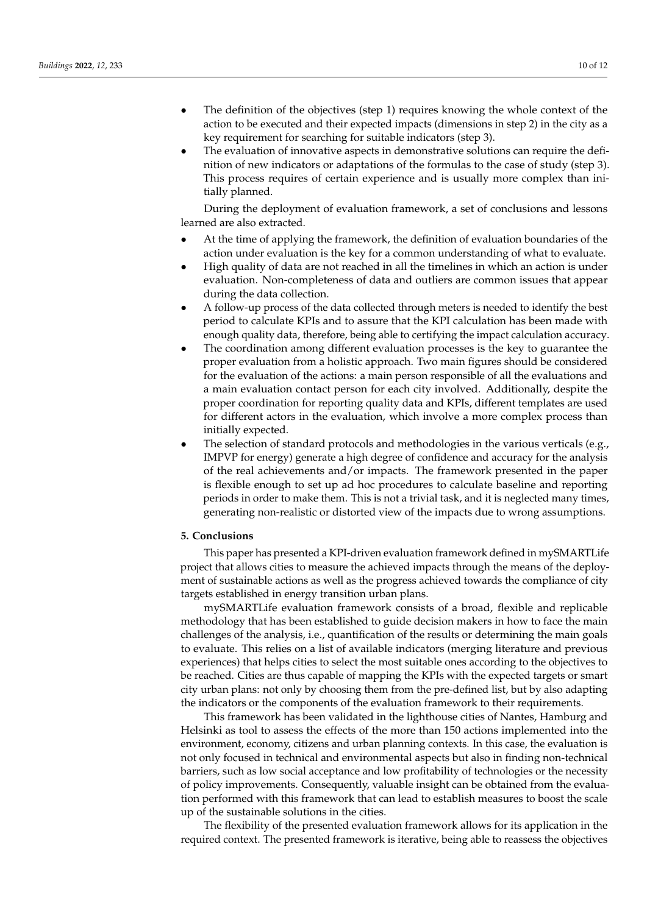- The definition of the objectives (step 1) requires knowing the whole context of the action to be executed and their expected impacts (dimensions in step 2) in the city as a key requirement for searching for suitable indicators (step 3).
- The evaluation of innovative aspects in demonstrative solutions can require the definition of new indicators or adaptations of the formulas to the case of study (step 3). This process requires of certain experience and is usually more complex than initially planned.

During the deployment of evaluation framework, a set of conclusions and lessons learned are also extracted.

- At the time of applying the framework, the definition of evaluation boundaries of the action under evaluation is the key for a common understanding of what to evaluate.
- High quality of data are not reached in all the timelines in which an action is under evaluation. Non-completeness of data and outliers are common issues that appear during the data collection.
- A follow-up process of the data collected through meters is needed to identify the best period to calculate KPIs and to assure that the KPI calculation has been made with enough quality data, therefore, being able to certifying the impact calculation accuracy.
- The coordination among different evaluation processes is the key to guarantee the proper evaluation from a holistic approach. Two main figures should be considered for the evaluation of the actions: a main person responsible of all the evaluations and a main evaluation contact person for each city involved. Additionally, despite the proper coordination for reporting quality data and KPIs, different templates are used for different actors in the evaluation, which involve a more complex process than initially expected.
- The selection of standard protocols and methodologies in the various verticals (e.g., IMPVP for energy) generate a high degree of confidence and accuracy for the analysis of the real achievements and/or impacts. The framework presented in the paper is flexible enough to set up ad hoc procedures to calculate baseline and reporting periods in order to make them. This is not a trivial task, and it is neglected many times, generating non-realistic or distorted view of the impacts due to wrong assumptions.

#### <span id="page-9-0"></span>**5. Conclusions**

This paper has presented a KPI-driven evaluation framework defined in mySMARTLife project that allows cities to measure the achieved impacts through the means of the deployment of sustainable actions as well as the progress achieved towards the compliance of city targets established in energy transition urban plans.

mySMARTLife evaluation framework consists of a broad, flexible and replicable methodology that has been established to guide decision makers in how to face the main challenges of the analysis, i.e., quantification of the results or determining the main goals to evaluate. This relies on a list of available indicators (merging literature and previous experiences) that helps cities to select the most suitable ones according to the objectives to be reached. Cities are thus capable of mapping the KPIs with the expected targets or smart city urban plans: not only by choosing them from the pre-defined list, but by also adapting the indicators or the components of the evaluation framework to their requirements.

This framework has been validated in the lighthouse cities of Nantes, Hamburg and Helsinki as tool to assess the effects of the more than 150 actions implemented into the environment, economy, citizens and urban planning contexts. In this case, the evaluation is not only focused in technical and environmental aspects but also in finding non-technical barriers, such as low social acceptance and low profitability of technologies or the necessity of policy improvements. Consequently, valuable insight can be obtained from the evaluation performed with this framework that can lead to establish measures to boost the scale up of the sustainable solutions in the cities.

The flexibility of the presented evaluation framework allows for its application in the required context. The presented framework is iterative, being able to reassess the objectives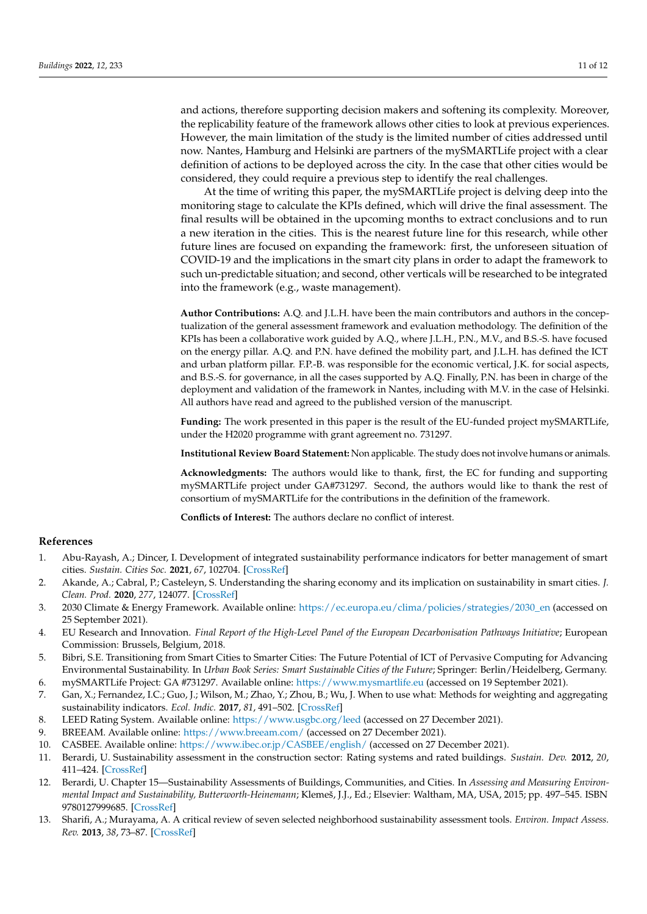and actions, therefore supporting decision makers and softening its complexity. Moreover, the replicability feature of the framework allows other cities to look at previous experiences. However, the main limitation of the study is the limited number of cities addressed until now. Nantes, Hamburg and Helsinki are partners of the mySMARTLife project with a clear definition of actions to be deployed across the city. In the case that other cities would be considered, they could require a previous step to identify the real challenges.

At the time of writing this paper, the mySMARTLife project is delving deep into the monitoring stage to calculate the KPIs defined, which will drive the final assessment. The final results will be obtained in the upcoming months to extract conclusions and to run a new iteration in the cities. This is the nearest future line for this research, while other future lines are focused on expanding the framework: first, the unforeseen situation of COVID-19 and the implications in the smart city plans in order to adapt the framework to such un-predictable situation; and second, other verticals will be researched to be integrated into the framework (e.g., waste management).

**Author Contributions:** A.Q. and J.L.H. have been the main contributors and authors in the conceptualization of the general assessment framework and evaluation methodology. The definition of the KPIs has been a collaborative work guided by A.Q., where J.L.H., P.N., M.V., and B.S.-S. have focused on the energy pillar. A.Q. and P.N. have defined the mobility part, and J.L.H. has defined the ICT and urban platform pillar. F.P.-B. was responsible for the economic vertical, J.K. for social aspects, and B.S.-S. for governance, in all the cases supported by A.Q. Finally, P.N. has been in charge of the deployment and validation of the framework in Nantes, including with M.V. in the case of Helsinki. All authors have read and agreed to the published version of the manuscript.

**Funding:** The work presented in this paper is the result of the EU-funded project mySMARTLife, under the H2020 programme with grant agreement no. 731297.

**Institutional Review Board Statement:** Non applicable. The study does not involve humans or animals.

**Acknowledgments:** The authors would like to thank, first, the EC for funding and supporting mySMARTLife project under GA#731297. Second, the authors would like to thank the rest of consortium of mySMARTLife for the contributions in the definition of the framework.

**Conflicts of Interest:** The authors declare no conflict of interest.

#### **References**

- <span id="page-10-0"></span>1. Abu-Rayash, A.; Dincer, I. Development of integrated sustainability performance indicators for better management of smart cities. *Sustain. Cities Soc.* **2021**, *67*, 102704. [\[CrossRef\]](http://doi.org/10.1016/j.scs.2020.102704)
- <span id="page-10-1"></span>2. Akande, A.; Cabral, P.; Casteleyn, S. Understanding the sharing economy and its implication on sustainability in smart cities. *J. Clean. Prod.* **2020**, *277*, 124077. [\[CrossRef\]](http://doi.org/10.1016/j.jclepro.2020.124077)
- <span id="page-10-2"></span>3. 2030 Climate & Energy Framework. Available online: [https://ec.europa.eu/clima/policies/strategies/2030\\_en](https://ec.europa.eu/clima/policies/strategies/2030_en) (accessed on 25 September 2021).
- <span id="page-10-3"></span>4. EU Research and Innovation. *Final Report of the High-Level Panel of the European Decarbonisation Pathways Initiative*; European Commission: Brussels, Belgium, 2018.
- <span id="page-10-4"></span>5. Bibri, S.E. Transitioning from Smart Cities to Smarter Cities: The Future Potential of ICT of Pervasive Computing for Advancing Environmental Sustainability. In *Urban Book Series: Smart Sustainable Cities of the Future*; Springer: Berlin/Heidelberg, Germany.
- <span id="page-10-5"></span>6. mySMARTLife Project: GA #731297. Available online: <https://www.mysmartlife.eu> (accessed on 19 September 2021).
- <span id="page-10-6"></span>7. Gan, X.; Fernandez, I.C.; Guo, J.; Wilson, M.; Zhao, Y.; Zhou, B.; Wu, J. When to use what: Methods for weighting and aggregating sustainability indicators. *Ecol. Indic.* **2017**, *81*, 491–502. [\[CrossRef\]](http://doi.org/10.1016/j.ecolind.2017.05.068)
- <span id="page-10-8"></span><span id="page-10-7"></span>8. LEED Rating System. Available online: <https://www.usgbc.org/leed> (accessed on 27 December 2021).
- 9. BREEAM. Available online: <https://www.breeam.com/> (accessed on 27 December 2021).
- <span id="page-10-9"></span>10. CASBEE. Available online: <https://www.ibec.or.jp/CASBEE/english/> (accessed on 27 December 2021).
- <span id="page-10-10"></span>11. Berardi, U. Sustainability assessment in the construction sector: Rating systems and rated buildings. *Sustain. Dev.* **2012**, *20*, 411–424. [\[CrossRef\]](http://doi.org/10.1002/sd.532)
- <span id="page-10-11"></span>12. Berardi, U. Chapter 15—Sustainability Assessments of Buildings, Communities, and Cities. In *Assessing and Measuring Environmental Impact and Sustainability, Butterworth-Heinemann*; Klemeš, J.J., Ed.; Elsevier: Waltham, MA, USA, 2015; pp. 497–545. ISBN 9780127999685. [\[CrossRef\]](http://doi.org/10.1016/B978-0-12-799968-5.00015-4)
- <span id="page-10-12"></span>13. Sharifi, A.; Murayama, A. A critical review of seven selected neighborhood sustainability assessment tools. *Environ. Impact Assess. Rev.* **2013**, *38*, 73–87. [\[CrossRef\]](http://doi.org/10.1016/j.eiar.2012.06.006)